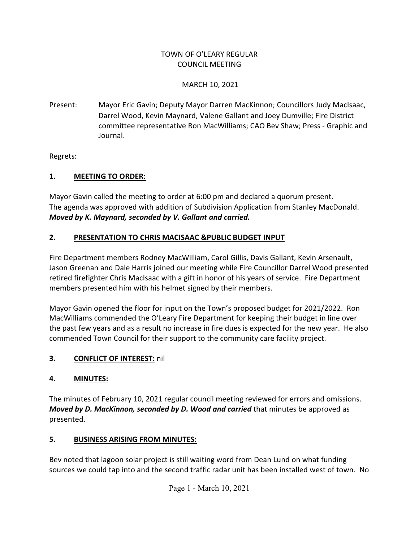#### TOWN OF O'LEARY REGULAR COUNCIL MEETING

#### MARCH 10, 2021

Present: Mayor Eric Gavin; Deputy Mayor Darren MacKinnon; Councillors Judy MacIsaac, Darrel Wood, Kevin Maynard, Valene Gallant and Joey Dumville; Fire District committee representative Ron MacWilliams; CAO Bev Shaw; Press - Graphic and Journal.

Regrets:

### **1. MEETING TO ORDER:**

Mayor Gavin called the meeting to order at 6:00 pm and declared a quorum present. The agenda was approved with addition of Subdivision Application from Stanley MacDonald. *Moved by K. Maynard, seconded by V. Gallant and carried.*

### **2. PRESENTATION TO CHRIS MACISAAC &PUBLIC BUDGET INPUT**

Fire Department members Rodney MacWilliam, Carol Gillis, Davis Gallant, Kevin Arsenault, Jason Greenan and Dale Harris joined our meeting while Fire Councillor Darrel Wood presented retired firefighter Chris MacIsaac with a gift in honor of his years of service. Fire Department members presented him with his helmet signed by their members.

Mayor Gavin opened the floor for input on the Town's proposed budget for 2021/2022. Ron MacWilliams commended the O'Leary Fire Department for keeping their budget in line over the past few years and as a result no increase in fire dues is expected for the new year. He also commended Town Council for their support to the community care facility project.

### **3. CONFLICT OF INTEREST:** nil

### **4. MINUTES:**

The minutes of February 10, 2021 regular council meeting reviewed for errors and omissions. *Moved by D. MacKinnon, seconded by D. Wood and carried* that minutes be approved as presented.

### **5. BUSINESS ARISING FROM MINUTES:**

Bev noted that lagoon solar project is still waiting word from Dean Lund on what funding sources we could tap into and the second traffic radar unit has been installed west of town. No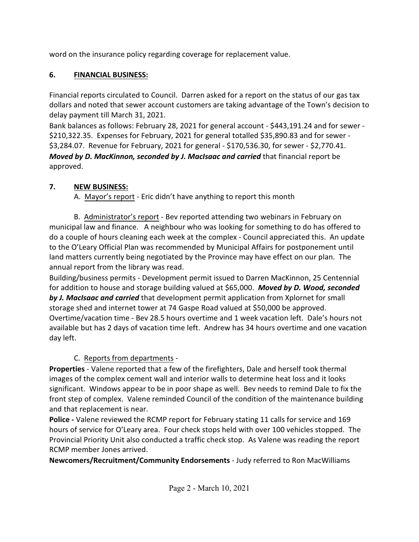word on the insurance policy regarding coverage for replacement value.

### **6. FINANCIAL BUSINESS:**

Financial reports circulated to Council. Darren asked for a report on the status of our gas tax dollars and noted that sewer account customers are taking advantage of the Town's decision to delay payment till March 31, 2021.

Bank balances as follows: February 28, 2021 for general account - \$443,191.24 and for sewer - \$210,322.35. Expenses for February, 2021 for general totalled \$35,890.83 and for sewer - \$3,284.07. Revenue for February, 2021 for general - \$170,536.30, for sewer - \$2,770.41. *Moved by D. MacKinnon, seconded by J. MacIsaac and carried* that financial report be approved.

## **7. NEW BUSINESS:**

A. Mayor's report - Eric didn't have anything to report this month

B. Administrator's report - Bev reported attending two webinars in February on municipal law and finance. A neighbour who was looking for something to do has offered to do a couple of hours cleaning each week at the complex - Council appreciated this. An update to the O'Leary Official Plan was recommended by Municipal Affairs for postponement until land matters currently being negotiated by the Province may have effect on our plan. The annual report from the library was read.

Building/business permits - Development permit issued to Darren MacKinnon, 25 Centennial for addition to house and storage building valued at \$65,000. *Moved by D. Wood, seconded by J. MacIsaac and carried* that development permit application from Xplornet for small storage shed and internet tower at 74 Gaspe Road valued at \$50,000 be approved. Overtime/vacation time - Bev 28.5 hours overtime and 1 week vacation left. Dale's hours not available but has 2 days of vacation time left. Andrew has 34 hours overtime and one vacation day left.

# C. Reports from departments -

**Properties** - Valene reported that a few of the firefighters, Dale and herself took thermal images of the complex cement wall and interior walls to determine heat loss and it looks significant. Windows appear to be in poor shape as well. Bev needs to remind Dale to fix the front step of complex. Valene reminded Council of the condition of the maintenance building and that replacement is near.

**Police -** Valene reviewed the RCMP report for February stating 11 calls for service and 169 hours of service for O'Leary area. Four check stops held with over 100 vehicles stopped. The Provincial Priority Unit also conducted a traffic check stop. As Valene was reading the report RCMP member Jones arrived.

**Newcomers/Recruitment/Community Endorsements** - Judy referred to Ron MacWilliams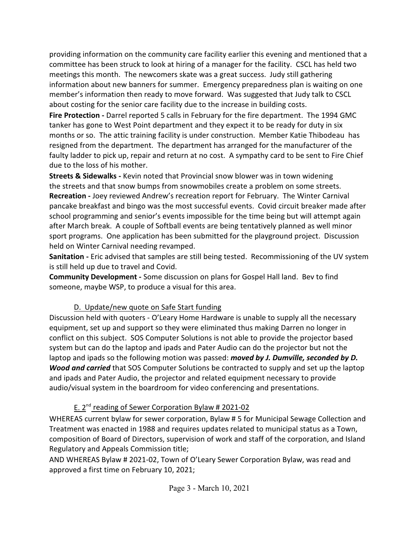providing information on the community care facility earlier this evening and mentioned that a committee has been struck to look at hiring of a manager for the facility. CSCL has held two meetings this month. The newcomers skate was a great success. Judy still gathering information about new banners for summer. Emergency preparedness plan is waiting on one member's information then ready to move forward. Was suggested that Judy talk to CSCL about costing for the senior care facility due to the increase in building costs.

**Fire Protection -** Darrel reported 5 calls in February for the fire department. The 1994 GMC tanker has gone to West Point department and they expect it to be ready for duty in six months or so. The attic training facility is under construction. Member Katie Thibodeau has resigned from the department. The department has arranged for the manufacturer of the faulty ladder to pick up, repair and return at no cost. A sympathy card to be sent to Fire Chief due to the loss of his mother.

**Streets & Sidewalks -** Kevin noted that Provincial snow blower was in town widening the streets and that snow bumps from snowmobiles create a problem on some streets. **Recreation -** Joey reviewed Andrew's recreation report for February. The Winter Carnival pancake breakfast and bingo was the most successful events. Covid circuit breaker made after school programming and senior's events impossible for the time being but will attempt again after March break. A couple of Softball events are being tentatively planned as well minor sport programs. One application has been submitted for the playground project. Discussion held on Winter Carnival needing revamped.

**Sanitation -** Eric advised that samples are still being tested. Recommissioning of the UV system is still held up due to travel and Covid.

**Community Development -** Some discussion on plans for Gospel Hall land. Bev to find someone, maybe WSP, to produce a visual for this area.

### D. Update/new quote on Safe Start funding

Discussion held with quoters - O'Leary Home Hardware is unable to supply all the necessary equipment, set up and support so they were eliminated thus making Darren no longer in conflict on this subject. SOS Computer Solutions is not able to provide the projector based system but can do the laptop and ipads and Pater Audio can do the projector but not the laptop and ipads so the following motion was passed: *moved by J. Dumville, seconded by D. Wood and carried* that SOS Computer Solutions be contracted to supply and set up the laptop and ipads and Pater Audio, the projector and related equipment necessary to provide audio/visual system in the boardroom for video conferencing and presentations.

## E. 2<sup>nd</sup> reading of Sewer Corporation Bylaw # 2021-02

WHEREAS current bylaw for sewer corporation, Bylaw # 5 for Municipal Sewage Collection and Treatment was enacted in 1988 and requires updates related to municipal status as a Town, composition of Board of Directors, supervision of work and staff of the corporation, and Island Regulatory and Appeals Commission title;

AND WHEREAS Bylaw # 2021-02, Town of O'Leary Sewer Corporation Bylaw, was read and approved a first time on February 10, 2021;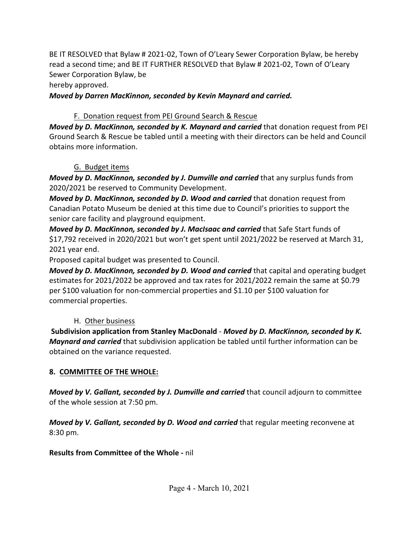BE IT RESOLVED that Bylaw # 2021-02, Town of O'Leary Sewer Corporation Bylaw, be hereby read a second time; and BE IT FURTHER RESOLVED that Bylaw # 2021-02, Town of O'Leary Sewer Corporation Bylaw, be

hereby approved.

*Moved by Darren MacKinnon, seconded by Kevin Maynard and carried.*

## F. Donation request from PEI Ground Search & Rescue

*Moved by D. MacKinnon, seconded by K. Maynard and carried* that donation request from PEI Ground Search & Rescue be tabled until a meeting with their directors can be held and Council obtains more information.

## G. Budget items

*Moved by D. MacKinnon, seconded by J. Dumville and carried* that any surplus funds from 2020/2021 be reserved to Community Development.

*Moved by D. MacKinnon, seconded by D. Wood and carried* that donation request from Canadian Potato Museum be denied at this time due to Council's priorities to support the senior care facility and playground equipment.

*Moved by D. MacKinnon, seconded by J. MacIsaac and carried* that Safe Start funds of \$17,792 received in 2020/2021 but won't get spent until 2021/2022 be reserved at March 31, 2021 year end.

Proposed capital budget was presented to Council.

*Moved by D. MacKinnon, seconded by D. Wood and carried* that capital and operating budget estimates for 2021/2022 be approved and tax rates for 2021/2022 remain the same at \$0.79 per \$100 valuation for non-commercial properties and \$1.10 per \$100 valuation for commercial properties.

# H. Other business

**Subdivision application from Stanley MacDonald** - *Moved by D. MacKinnon, seconded by K. Maynard and carried* that subdivision application be tabled until further information can be obtained on the variance requested.

# **8. COMMITTEE OF THE WHOLE:**

*Moved by V. Gallant, seconded by J. Dumville and carried* that council adjourn to committee of the whole session at 7:50 pm.

*Moved by V. Gallant, seconded by D. Wood and carried* that regular meeting reconvene at 8:30 pm.

## **Results from Committee of the Whole -** nil